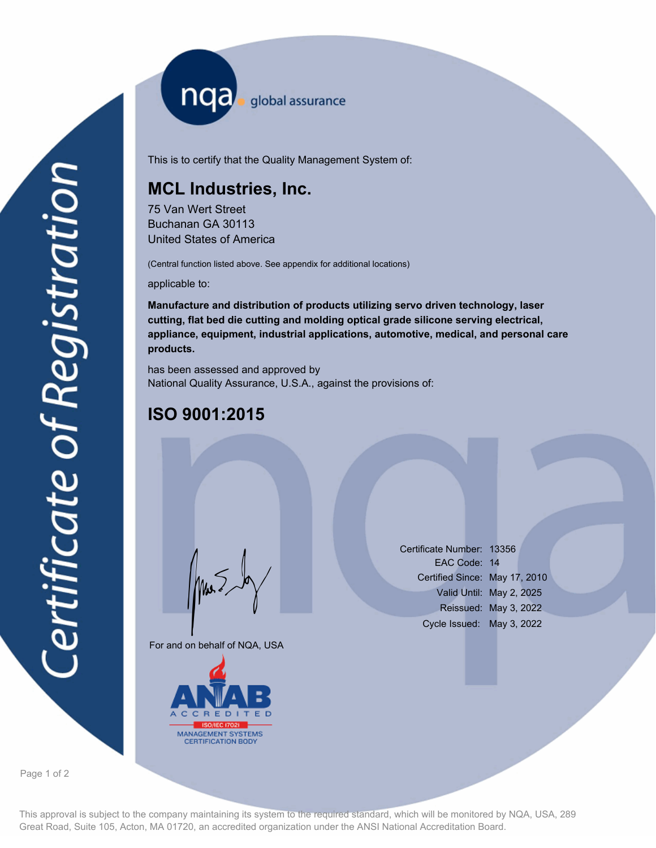nqa <sub>global</sub> assurance

This is to certify that the Quality Management System of:

## **MCL Industries, Inc.**

75 Van Wert Street Buchanan GA 30113 United States of America

(Central function listed above. See appendix for additional locations)

applicable to:

**Manufacture and distribution of products utilizing servo driven technology, laser cutting, flat bed die cutting and molding optical grade silicone serving electrical, appliance, equipment, industrial applications, automotive, medical, and personal care products.**

has been assessed and approved by National Quality Assurance, U.S.A., against the provisions of:

## **ISO 9001:2015**

For and on behalf of NQA, USA

Mus



Certificate Number: 13356 EAC Code: 14 Certified Since: May 17, 2010 Valid Until: May 2, 2025 Reissued: May 3, 2022 Cycle Issued: May 3, 2022

Page 1 of 2

This approval is subject to the company maintaining its system to the required standard, which will be monitored by NQA, USA, 289 Great Road, Suite 105, Acton, MA 01720, an accredited organization under the ANSI National Accreditation Board.